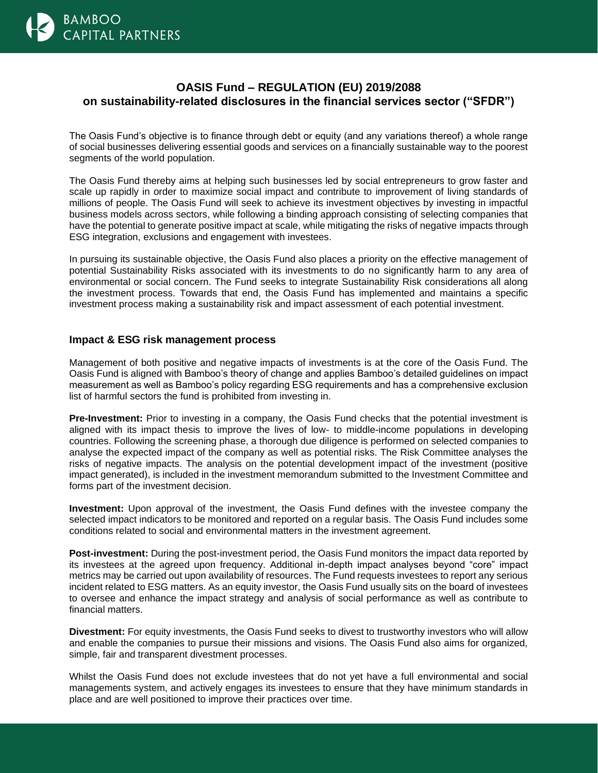

## **OASIS Fund – REGULATION (EU) 2019/2088 on sustainability-related disclosures in the financial services sector ("SFDR")**

The Oasis Fund's objective is to finance through debt or equity (and any variations thereof) a whole range of social businesses delivering essential goods and services on a financially sustainable way to the poorest segments of the world population.

The Oasis Fund thereby aims at helping such businesses led by social entrepreneurs to grow faster and scale up rapidly in order to maximize social impact and contribute to improvement of living standards of millions of people. The Oasis Fund will seek to achieve its investment objectives by investing in impactful business models across sectors, while following a binding approach consisting of selecting companies that have the potential to generate positive impact at scale, while mitigating the risks of negative impacts through ESG integration, exclusions and engagement with investees.

In pursuing its sustainable objective, the Oasis Fund also places a priority on the effective management of potential Sustainability Risks associated with its investments to do no significantly harm to any area of environmental or social concern. The Fund seeks to integrate Sustainability Risk considerations all along the investment process. Towards that end, the Oasis Fund has implemented and maintains a specific investment process making a sustainability risk and impact assessment of each potential investment.

## **Impact & ESG risk management process**

Management of both positive and negative impacts of investments is at the core of the Oasis Fund. The Oasis Fund is aligned with Bamboo's theory of change and applies Bamboo's detailed guidelines on impact measurement as well as Bamboo's policy regarding ESG requirements and has a comprehensive exclusion list of harmful sectors the fund is prohibited from investing in.

**Pre-Investment:** Prior to investing in a company, the Oasis Fund checks that the potential investment is aligned with its impact thesis to improve the lives of low- to middle-income populations in developing countries. Following the screening phase, a thorough due diligence is performed on selected companies to analyse the expected impact of the company as well as potential risks. The Risk Committee analyses the risks of negative impacts. The analysis on the potential development impact of the investment (positive impact generated), is included in the investment memorandum submitted to the Investment Committee and forms part of the investment decision.

**Investment:** Upon approval of the investment, the Oasis Fund defines with the investee company the selected impact indicators to be monitored and reported on a regular basis. The Oasis Fund includes some conditions related to social and environmental matters in the investment agreement.

**Post-investment:** During the post-investment period, the Oasis Fund monitors the impact data reported by its investees at the agreed upon frequency. Additional in-depth impact analyses beyond "core" impact metrics may be carried out upon availability of resources. The Fund requests investees to report any serious incident related to ESG matters. As an equity investor, the Oasis Fund usually sits on the board of investees to oversee and enhance the impact strategy and analysis of social performance as well as contribute to financial matters.

**Divestment:** For equity investments, the Oasis Fund seeks to divest to trustworthy investors who will allow and enable the companies to pursue their missions and visions. The Oasis Fund also aims for organized, simple, fair and transparent divestment processes.

Whilst the Oasis Fund does not exclude investees that do not yet have a full environmental and social managements system, and actively engages its investees to ensure that they have minimum standards in place and are well positioned to improve their practices over time.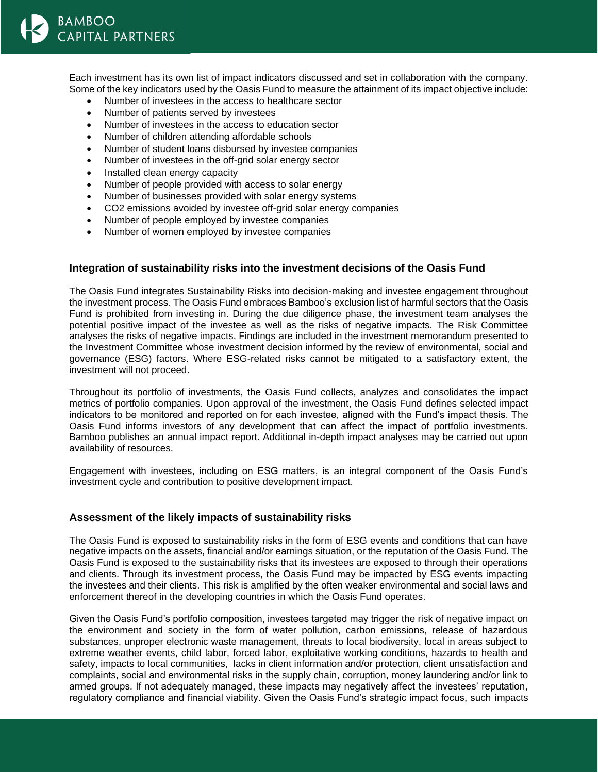Each investment has its own list of impact indicators discussed and set in collaboration with the company. Some of the key indicators used by the Oasis Fund to measure the attainment of its impact objective include:

- Number of investees in the access to healthcare sector
- Number of patients served by investees
- Number of investees in the access to education sector
- Number of children attending affordable schools
- Number of student loans disbursed by investee companies
- Number of investees in the off-grid solar energy sector
- Installed clean energy capacity
- Number of people provided with access to solar energy
- Number of businesses provided with solar energy systems
- CO2 emissions avoided by investee off-grid solar energy companies
- Number of people employed by investee companies
- Number of women employed by investee companies

## **Integration of sustainability risks into the investment decisions of the Oasis Fund**

The Oasis Fund integrates Sustainability Risks into decision-making and investee engagement throughout the investment process. The Oasis Fund embraces Bamboo's exclusion list of harmful sectors that the Oasis Fund is prohibited from investing in. During the due diligence phase, the investment team analyses the potential positive impact of the investee as well as the risks of negative impacts. The Risk Committee analyses the risks of negative impacts. Findings are included in the investment memorandum presented to the Investment Committee whose investment decision informed by the review of environmental, social and governance (ESG) factors. Where ESG-related risks cannot be mitigated to a satisfactory extent, the investment will not proceed.

Throughout its portfolio of investments, the Oasis Fund collects, analyzes and consolidates the impact metrics of portfolio companies. Upon approval of the investment, the Oasis Fund defines selected impact indicators to be monitored and reported on for each investee, aligned with the Fund's impact thesis. The Oasis Fund informs investors of any development that can affect the impact of portfolio investments. Bamboo publishes an annual impact report. Additional in-depth impact analyses may be carried out upon availability of resources.

Engagement with investees, including on ESG matters, is an integral component of the Oasis Fund's investment cycle and contribution to positive development impact.

## **Assessment of the likely impacts of sustainability risks**

The Oasis Fund is exposed to sustainability risks in the form of ESG events and conditions that can have negative impacts on the assets, financial and/or earnings situation, or the reputation of the Oasis Fund. The Oasis Fund is exposed to the sustainability risks that its investees are exposed to through their operations and clients. Through its investment process, the Oasis Fund may be impacted by ESG events impacting the investees and their clients. This risk is amplified by the often weaker environmental and social laws and enforcement thereof in the developing countries in which the Oasis Fund operates.

Given the Oasis Fund's portfolio composition, investees targeted may trigger the risk of negative impact on the environment and society in the form of water pollution, carbon emissions, release of hazardous substances, unproper electronic waste management, threats to local biodiversity, local in areas subject to extreme weather events, child labor, forced labor, exploitative working conditions, hazards to health and safety, impacts to local communities, lacks in client information and/or protection, client unsatisfaction and complaints, social and environmental risks in the supply chain, corruption, money laundering and/or link to armed groups. If not adequately managed, these impacts may negatively affect the investees' reputation, regulatory compliance and financial viability. Given the Oasis Fund's strategic impact focus, such impacts